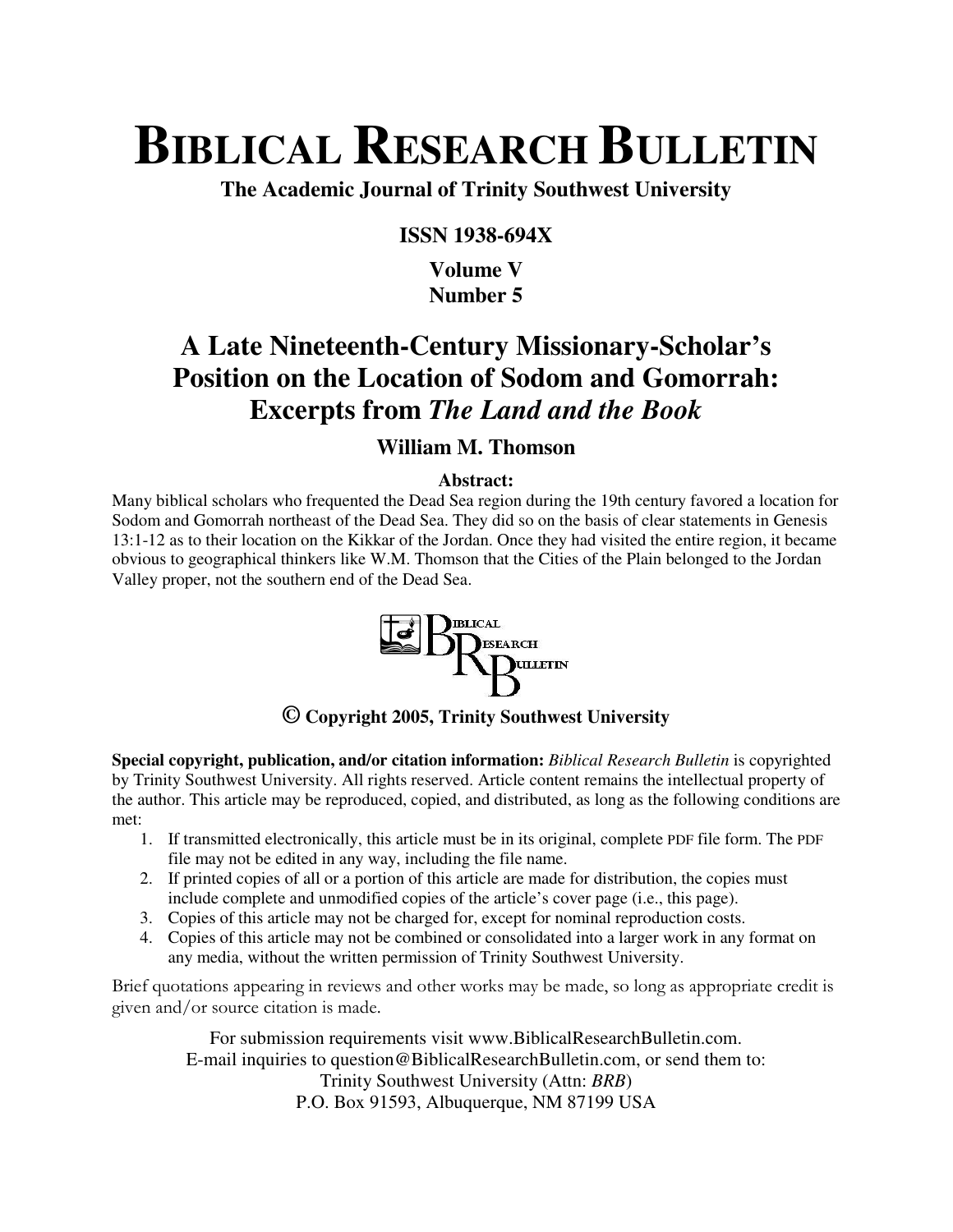# **BIBLICAL RESEARCH BULLETIN**

**The Academic Journal of Trinity Southwest University** 

### **ISSN 1938-694X**

### **Volume V Number 5**

# **A Late Nineteenth-Century Missionary-Scholar's Position on the Location of Sodom and Gomorrah: Excerpts from** *The Land and the Book*

## **William M. Thomson**

### **Abstract:**

Many biblical scholars who frequented the Dead Sea region during the 19th century favored a location for Sodom and Gomorrah northeast of the Dead Sea. They did so on the basis of clear statements in Genesis 13:1-12 as to their location on the Kikkar of the Jordan. Once they had visited the entire region, it became obvious to geographical thinkers like W.M. Thomson that the Cities of the Plain belonged to the Jordan Valley proper, not the southern end of the Dead Sea.



**© Copyright 2005, Trinity Southwest University** 

**Special copyright, publication, and/or citation information:** *Biblical Research Bulletin* is copyrighted by Trinity Southwest University. All rights reserved. Article content remains the intellectual property of the author. This article may be reproduced, copied, and distributed, as long as the following conditions are met:

- 1. If transmitted electronically, this article must be in its original, complete PDF file form. The PDF file may not be edited in any way, including the file name.
- 2. If printed copies of all or a portion of this article are made for distribution, the copies must include complete and unmodified copies of the article's cover page (i.e., this page).
- 3. Copies of this article may not be charged for, except for nominal reproduction costs.
- 4. Copies of this article may not be combined or consolidated into a larger work in any format on any media, without the written permission of Trinity Southwest University.

Brief quotations appearing in reviews and other works may be made, so long as appropriate credit is given and/or source citation is made.

For submission requirements visit www.BiblicalResearchBulletin.com. E-mail inquiries to question@BiblicalResearchBulletin.com, or send them to: Trinity Southwest University (Attn: *BRB*) P.O. Box 91593, Albuquerque, NM 87199 USA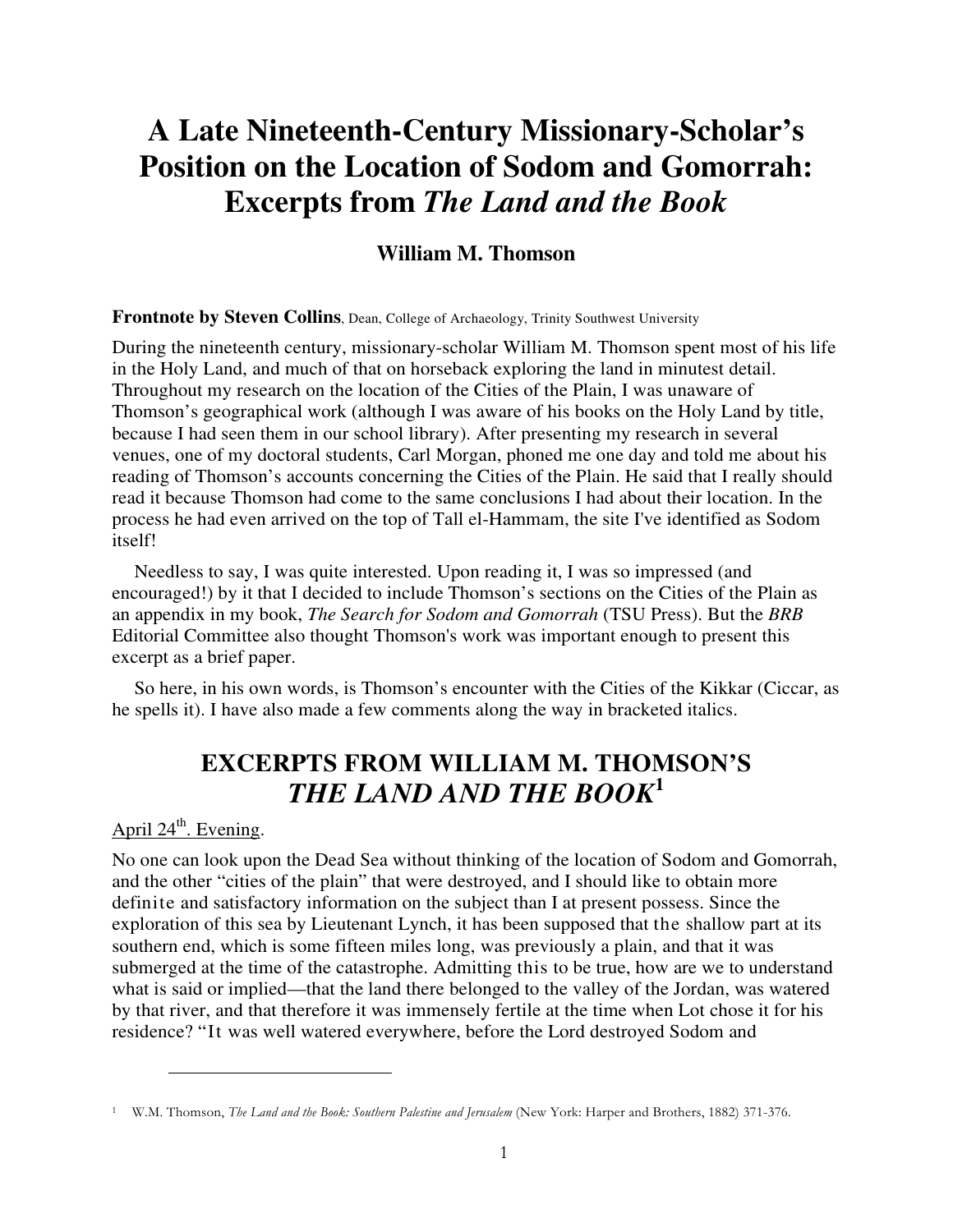# **A Late Nineteenth-Century Missionary-Scholar's Position on the Location of Sodom and Gomorrah: Excerpts from** *The Land and the Book*

### **William M. Thomson**

#### **Frontnote by Steven Collins**, Dean, College of Archaeology, Trinity Southwest University

During the nineteenth century, missionary-scholar William M. Thomson spent most of his life in the Holy Land, and much of that on horseback exploring the land in minutest detail. Throughout my research on the location of the Cities of the Plain, I was unaware of Thomson's geographical work (although I was aware of his books on the Holy Land by title, because I had seen them in our school library). After presenting my research in several venues, one of my doctoral students, Carl Morgan, phoned me one day and told me about his reading of Thomson's accounts concerning the Cities of the Plain. He said that I really should read it because Thomson had come to the same conclusions I had about their location. In the process he had even arrived on the top of Tall el-Hammam, the site I've identified as Sodom itself!

Needless to say, I was quite interested. Upon reading it, I was so impressed (and encouraged!) by it that I decided to include Thomson's sections on the Cities of the Plain as an appendix in my book, *The Search for Sodom and Gomorrah* (TSU Press). But the *BRB* Editorial Committee also thought Thomson's work was important enough to present this excerpt as a brief paper.

So here, in his own words, is Thomson's encounter with the Cities of the Kikkar (Ciccar, as he spells it). I have also made a few comments along the way in bracketed italics.

# **EXCERPTS FROM WILLIAM M. THOMSON'S**  *THE LAND AND THE BOOK***<sup>1</sup>**

## April  $24^{\text{th}}$ . Evening.

 $\overline{a}$ 

No one can look upon the Dead Sea without thinking of the location of Sodom and Gomorrah, and the other "cities of the plain" that were destroyed, and I should like to obtain more definite and satisfactory information on the subject than I at present possess. Since the exploration of this sea by Lieutenant Lynch, it has been supposed that the shallow part at its southern end, which is some fifteen miles long, was previously a plain, and that it was submerged at the time of the catastrophe. Admitting this to be true, how are we to understand what is said or implied—that the land there belonged to the valley of the Jordan, was watered by that river, and that therefore it was immensely fertile at the time when Lot chose it for his residence? "It was well watered everywhere, before the Lord destroyed Sodom and

<sup>&</sup>lt;sup>1</sup> W.M. Thomson, *The Land and the Book: Southern Palestine and Jerusalem* (New York: Harper and Brothers, 1882) 371-376.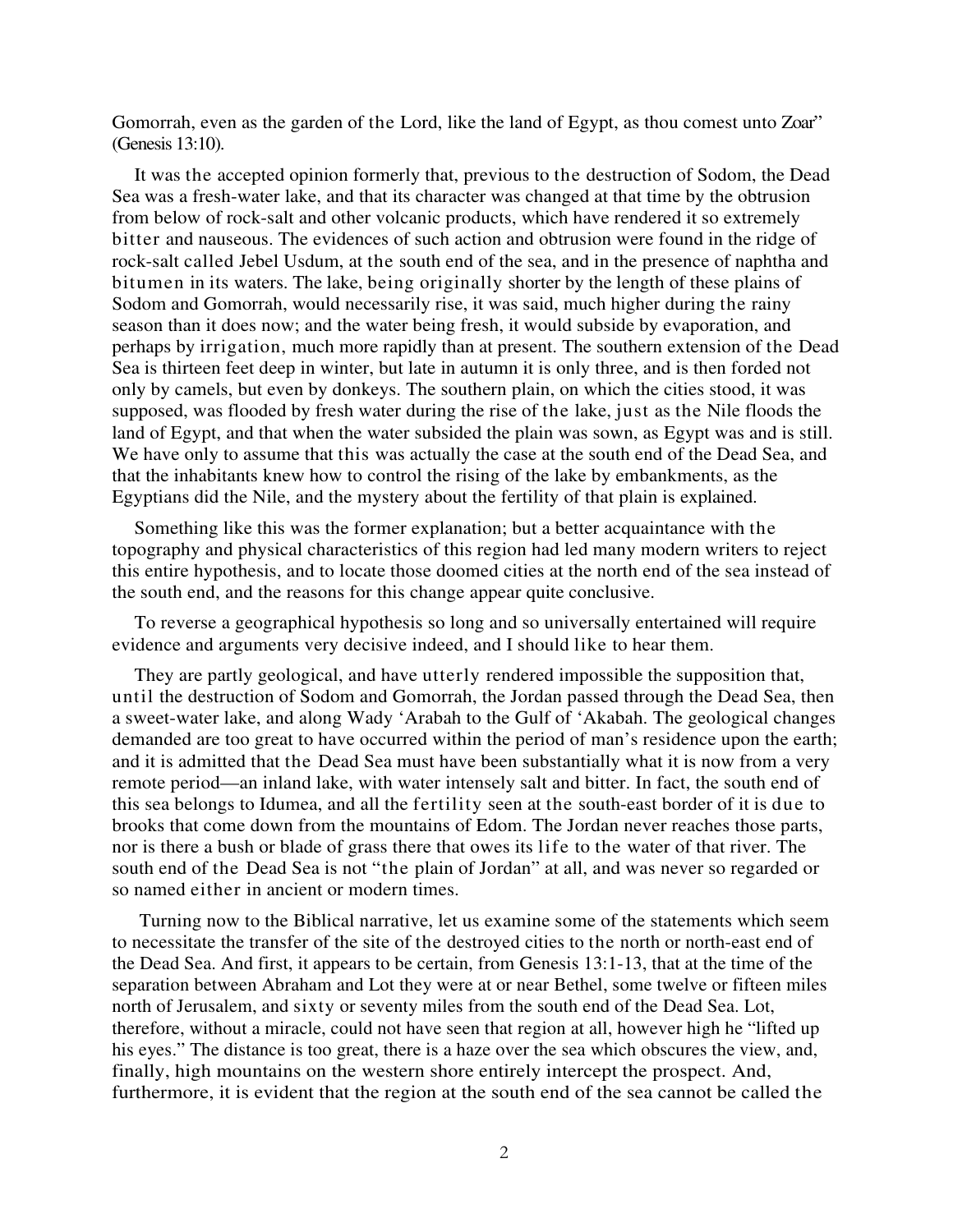Gomorrah, even as the garden of the Lord, like the land of Egypt, as thou comest unto Zoar" (Genesis 13:10).

It was the accepted opinion formerly that, previous to the destruction of Sodom, the Dead Sea was a fresh-water lake, and that its character was changed at that time by the obtrusion from below of rock-salt and other volcanic products, which have rendered it so extremely bitter and nauseous. The evidences of such action and obtrusion were found in the ridge of rock-salt called Jebel Usdum, at the south end of the sea, and in the presence of naphtha and bitumen in its waters. The lake, being originally shorter by the length of these plains of Sodom and Gomorrah, would necessarily rise, it was said, much higher during the rainy season than it does now; and the water being fresh, it would subside by evaporation, and perhaps by irrigation, much more rapidly than at present. The southern extension of the Dead Sea is thirteen feet deep in winter, but late in autumn it is only three, and is then forded not only by camels, but even by donkeys. The southern plain, on which the cities stood, it was supposed, was flooded by fresh water during the rise of the lake, just as the Nile floods the land of Egypt, and that when the water subsided the plain was sown, as Egypt was and is still. We have only to assume that this was actually the case at the south end of the Dead Sea, and that the inhabitants knew how to control the rising of the lake by embankments, as the Egyptians did the Nile, and the mystery about the fertility of that plain is explained.

Something like this was the former explanation; but a better acquaintance with the topography and physical characteristics of this region had led many modern writers to reject this entire hypothesis, and to locate those doomed cities at the north end of the sea instead of the south end, and the reasons for this change appear quite conclusive.

To reverse a geographical hypothesis so long and so universally entertained will require evidence and arguments very decisive indeed, and I should like to hear them.

They are partly geological, and have utterly rendered impossible the supposition that, until the destruction of Sodom and Gomorrah, the Jordan passed through the Dead Sea, then a sweet-water lake, and along Wady 'Arabah to the Gulf of 'Akabah. The geological changes demanded are too great to have occurred within the period of man's residence upon the earth; and it is admitted that the Dead Sea must have been substantially what it is now from a very remote period—an inland lake, with water intensely salt and bitter. In fact, the south end of this sea belongs to Idumea, and all the fertility seen at the south-east border of it is due to brooks that come down from the mountains of Edom. The Jordan never reaches those parts, nor is there a bush or blade of grass there that owes its life to the water of that river. The south end of the Dead Sea is not "the plain of Jordan" at all, and was never so regarded or so named either in ancient or modern times.

 Turning now to the Biblical narrative, let us examine some of the statements which seem to necessitate the transfer of the site of the destroyed cities to the north or north-east end of the Dead Sea. And first, it appears to be certain, from Genesis 13:1-13, that at the time of the separation between Abraham and Lot they were at or near Bethel, some twelve or fifteen miles north of Jerusalem, and sixty or seventy miles from the south end of the Dead Sea. Lot, therefore, without a miracle, could not have seen that region at all, however high he "lifted up his eyes." The distance is too great, there is a haze over the sea which obscures the view, and, finally, high mountains on the western shore entirely intercept the prospect. And, furthermore, it is evident that the region at the south end of the sea cannot be called the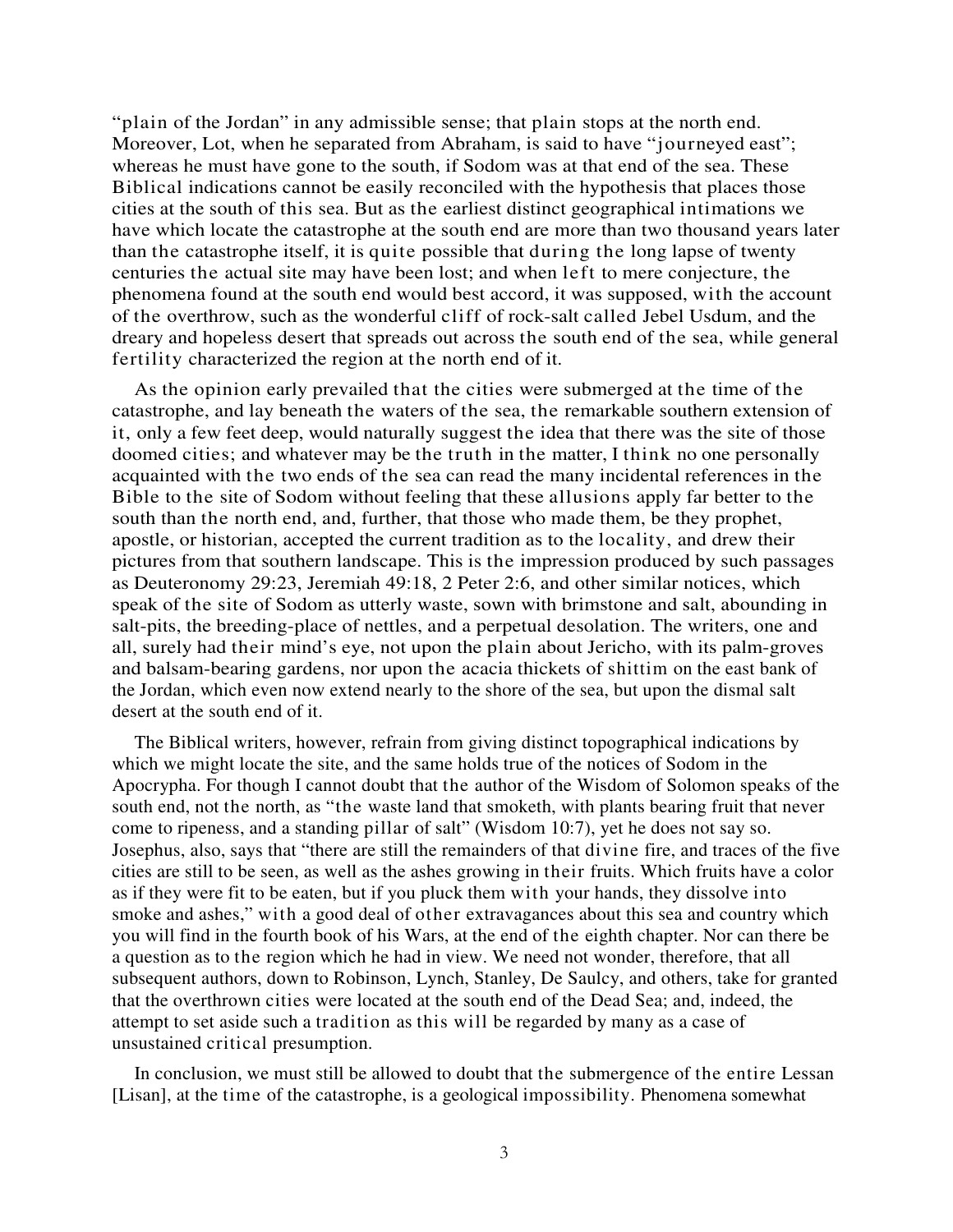"plain of the Jordan" in any admissible sense; that plain stops at the north end. Moreover, Lot, when he separated from Abraham, is said to have "journeyed east"; whereas he must have gone to the south, if Sodom was at that end of the sea. These Biblical indications cannot be easily reconciled with the hypothesis that places those cities at the south of this sea. But as the earliest distinct geographical intimations we have which locate the catastrophe at the south end are more than two thousand years later than the catastrophe itself, it is quite possible that during the long lapse of twenty centuries the actual site may have been lost; and when left to mere conjecture, the phenomena found at the south end would best accord, it was supposed, with the account of the overthrow, such as the wonderful cliff of rock-salt called Jebel Usdum, and the dreary and hopeless desert that spreads out across the south end of the sea, while general fertility characterized the region at the north end of it.

As the opinion early prevailed that the cities were submerged at the time of the catastrophe, and lay beneath the waters of the sea, the remarkable southern extension of it, only a few feet deep, would naturally suggest the idea that there was the site of those doomed cities; and whatever may be the truth in the matter, I think no one personally acquainted with the two ends of the sea can read the many incidental references in the Bible to the site of Sodom without feeling that these allusions apply far better to the south than the north end, and, further, that those who made them, be they prophet, apostle, or historian, accepted the current tradition as to the locality, and drew their pictures from that southern landscape. This is the impression produced by such passages as Deuteronomy 29:23, Jeremiah 49:18, 2 Peter 2:6, and other similar notices, which speak of the site of Sodom as utterly waste, sown with brimstone and salt, abounding in salt-pits, the breeding-place of nettles, and a perpetual desolation. The writers, one and all, surely had their mind's eye, not upon the plain about Jericho, with its palm-groves and balsam-bearing gardens, nor upon the acacia thickets of shittim on the east bank of the Jordan, which even now extend nearly to the shore of the sea, but upon the dismal salt desert at the south end of it.

The Biblical writers, however, refrain from giving distinct topographical indications by which we might locate the site, and the same holds true of the notices of Sodom in the Apocrypha. For though I cannot doubt that the author of the Wisdom of Solomon speaks of the south end, not the north, as "the waste land that smoketh, with plants bearing fruit that never come to ripeness, and a standing pillar of salt" (Wisdom 10:7), yet he does not say so. Josephus, also, says that "there are still the remainders of that divine fire, and traces of the five cities are still to be seen, as well as the ashes growing in their fruits. Which fruits have a color as if they were fit to be eaten, but if you pluck them with your hands, they dissolve into smoke and ashes," with a good deal of other extravagances about this sea and country which you will find in the fourth book of his Wars, at the end of the eighth chapter. Nor can there be a question as to the region which he had in view. We need not wonder, therefore, that all subsequent authors, down to Robinson, Lynch, Stanley, De Saulcy, and others, take for granted that the overthrown cities were located at the south end of the Dead Sea; and, indeed, the attempt to set aside such a tradition as this will be regarded by many as a case of unsustained critical presumption.

In conclusion, we must still be allowed to doubt that the submergence of the entire Lessan [Lisan], at the time of the catastrophe, is a geological impossibility. Phenomena somewhat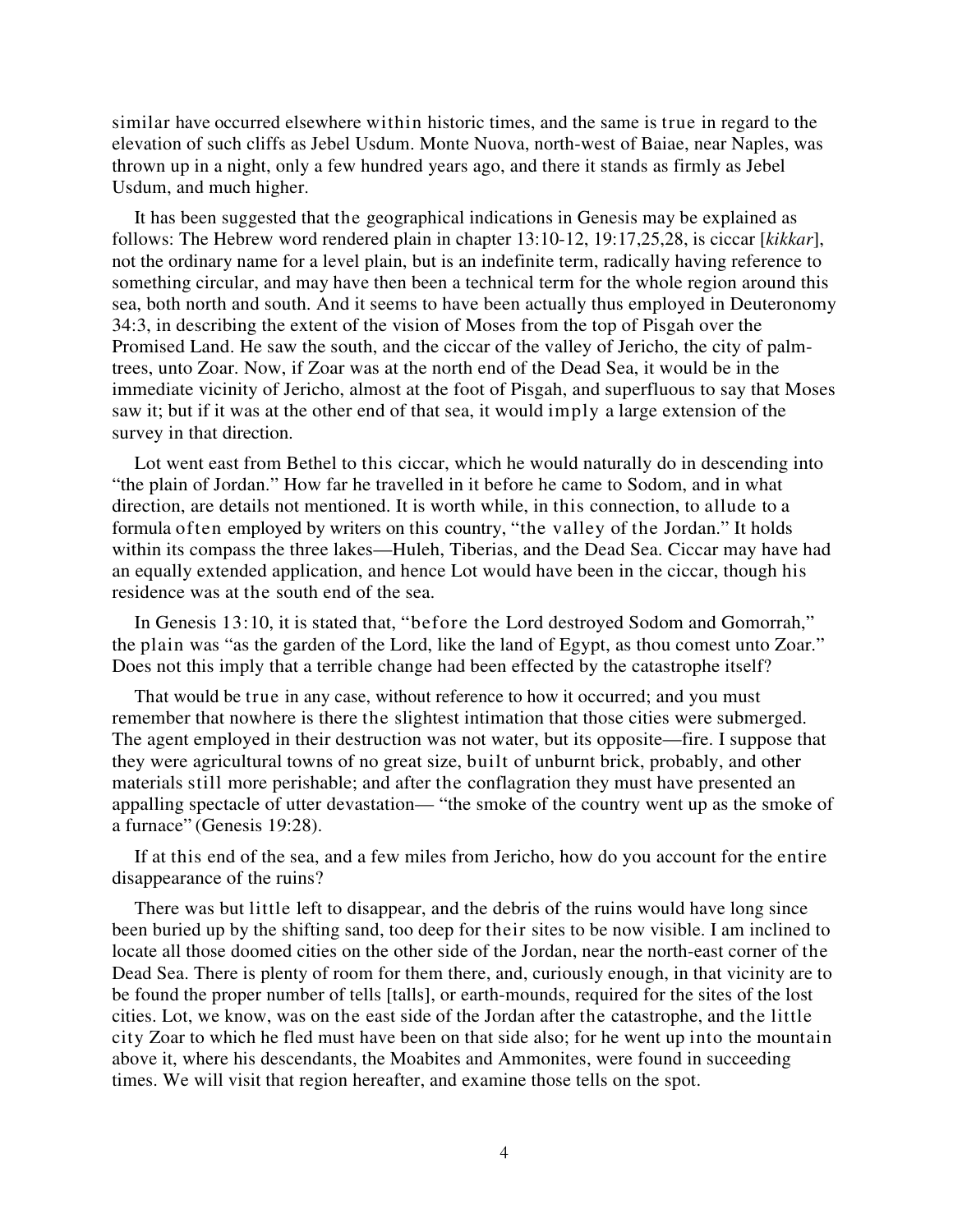similar have occurred elsewhere within historic times, and the same is true in regard to the elevation of such cliffs as Jebel Usdum. Monte Nuova, north-west of Baiae, near Naples, was thrown up in a night, only a few hundred years ago, and there it stands as firmly as Jebel Usdum, and much higher.

It has been suggested that the geographical indications in Genesis may be explained as follows: The Hebrew word rendered plain in chapter 13:10-12, 19:17,25,28, is ciccar [*kikkar*], not the ordinary name for a level plain, but is an indefinite term, radically having reference to something circular, and may have then been a technical term for the whole region around this sea, both north and south. And it seems to have been actually thus employed in Deuteronomy 34:3, in describing the extent of the vision of Moses from the top of Pisgah over the Promised Land. He saw the south, and the ciccar of the valley of Jericho, the city of palmtrees, unto Zoar. Now, if Zoar was at the north end of the Dead Sea, it would be in the immediate vicinity of Jericho, almost at the foot of Pisgah, and superfluous to say that Moses saw it; but if it was at the other end of that sea, it would imply a large extension of the survey in that direction.

Lot went east from Bethel to this ciccar, which he would naturally do in descending into "the plain of Jordan." How far he travelled in it before he came to Sodom, and in what direction, are details not mentioned. It is worth while, in this connection, to allude to a formula often employed by writers on this country, "the valley of the Jordan." It holds within its compass the three lakes—Huleh, Tiberias, and the Dead Sea. Ciccar may have had an equally extended application, and hence Lot would have been in the ciccar, though his residence was at the south end of the sea.

In Genesis 13:10, it is stated that, "before the Lord destroyed Sodom and Gomorrah," the plain was "as the garden of the Lord, like the land of Egypt, as thou comest unto Zoar." Does not this imply that a terrible change had been effected by the catastrophe itself?

That would be true in any case, without reference to how it occurred; and you must remember that nowhere is there the slightest intimation that those cities were submerged. The agent employed in their destruction was not water, but its opposite—fire. I suppose that they were agricultural towns of no great size, built of unburnt brick, probably, and other materials still more perishable; and after the conflagration they must have presented an appalling spectacle of utter devastation— "the smoke of the country went up as the smoke of a furnace" (Genesis 19:28).

If at this end of the sea, and a few miles from Jericho, how do you account for the entire disappearance of the ruins?

There was but little left to disappear, and the debris of the ruins would have long since been buried up by the shifting sand, too deep for their sites to be now visible. I am inclined to locate all those doomed cities on the other side of the Jordan, near the north-east corner of the Dead Sea. There is plenty of room for them there, and, curiously enough, in that vicinity are to be found the proper number of tells [talls], or earth-mounds, required for the sites of the lost cities. Lot, we know, was on the east side of the Jordan after the catastrophe, and the little city Zoar to which he fled must have been on that side also; for he went up into the mountain above it, where his descendants, the Moabites and Ammonites, were found in succeeding times. We will visit that region hereafter, and examine those tells on the spot.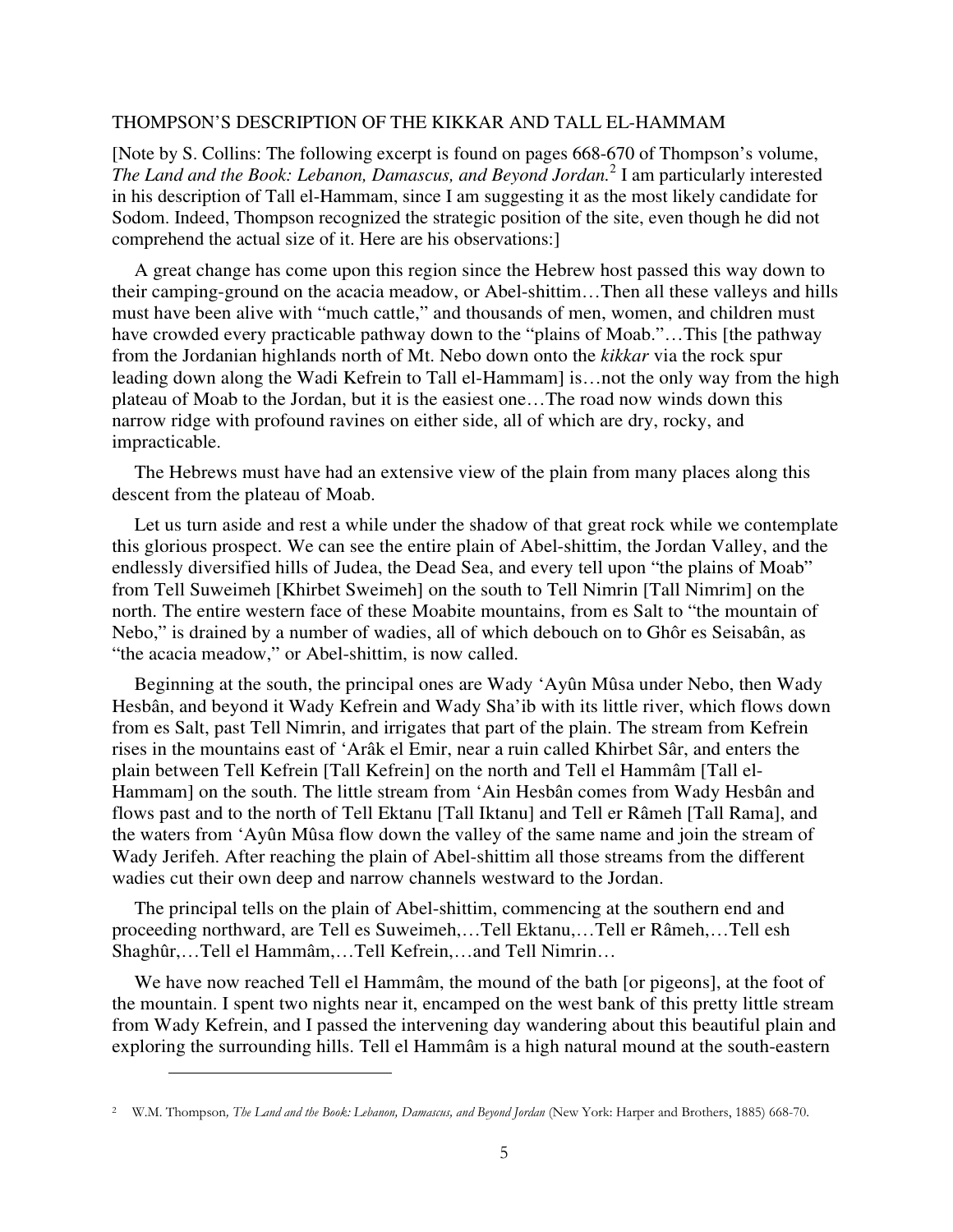#### THOMPSON'S DESCRIPTION OF THE KIKKAR AND TALL EL-HAMMAM

[Note by S. Collins: The following excerpt is found on pages 668-670 of Thompson's volume, *The Land and the Book: Lebanon, Damascus, and Beyond Jordan.*<sup>2</sup> I am particularly interested in his description of Tall el-Hammam, since I am suggesting it as the most likely candidate for Sodom. Indeed, Thompson recognized the strategic position of the site, even though he did not comprehend the actual size of it. Here are his observations:]

A great change has come upon this region since the Hebrew host passed this way down to their camping-ground on the acacia meadow, or Abel-shittim…Then all these valleys and hills must have been alive with "much cattle," and thousands of men, women, and children must have crowded every practicable pathway down to the "plains of Moab."...This [the pathway from the Jordanian highlands north of Mt. Nebo down onto the *kikkar* via the rock spur leading down along the Wadi Kefrein to Tall el-Hammam] is…not the only way from the high plateau of Moab to the Jordan, but it is the easiest one…The road now winds down this narrow ridge with profound ravines on either side, all of which are dry, rocky, and impracticable.

The Hebrews must have had an extensive view of the plain from many places along this descent from the plateau of Moab.

Let us turn aside and rest a while under the shadow of that great rock while we contemplate this glorious prospect. We can see the entire plain of Abel-shittim, the Jordan Valley, and the endlessly diversified hills of Judea, the Dead Sea, and every tell upon "the plains of Moab" from Tell Suweimeh [Khirbet Sweimeh] on the south to Tell Nimrin [Tall Nimrim] on the north. The entire western face of these Moabite mountains, from es Salt to "the mountain of Nebo," is drained by a number of wadies, all of which debouch on to Ghôr es Seisabân, as "the acacia meadow," or Abel-shittim, is now called.

Beginning at the south, the principal ones are Wady 'Ayûn Mûsa under Nebo, then Wady Hesbân, and beyond it Wady Kefrein and Wady Sha'ib with its little river, which flows down from es Salt, past Tell Nimrin, and irrigates that part of the plain. The stream from Kefrein rises in the mountains east of 'Arâk el Emir, near a ruin called Khirbet Sâr, and enters the plain between Tell Kefrein [Tall Kefrein] on the north and Tell el Hammâm [Tall el-Hammam] on the south. The little stream from 'Ain Hesbân comes from Wady Hesbân and flows past and to the north of Tell Ektanu [Tall Iktanu] and Tell er Râmeh [Tall Rama], and the waters from 'Ayûn Mûsa flow down the valley of the same name and join the stream of Wady Jerifeh. After reaching the plain of Abel-shittim all those streams from the different wadies cut their own deep and narrow channels westward to the Jordan.

The principal tells on the plain of Abel-shittim, commencing at the southern end and proceeding northward, are Tell es Suweimeh,…Tell Ektanu,…Tell er Râmeh,…Tell esh Shaghûr,…Tell el Hammâm,…Tell Kefrein,…and Tell Nimrin…

We have now reached Tell el Hammâm, the mound of the bath [or pigeons], at the foot of the mountain. I spent two nights near it, encamped on the west bank of this pretty little stream from Wady Kefrein, and I passed the intervening day wandering about this beautiful plain and exploring the surrounding hills. Tell el Hammâm is a high natural mound at the south-eastern

 $\overline{a}$ 

<sup>&</sup>lt;sup>2</sup> W.M. Thompson, *The Land and the Book: Lebanon, Damascus, and Beyond Jordan* (New York: Harper and Brothers, 1885) 668-70.